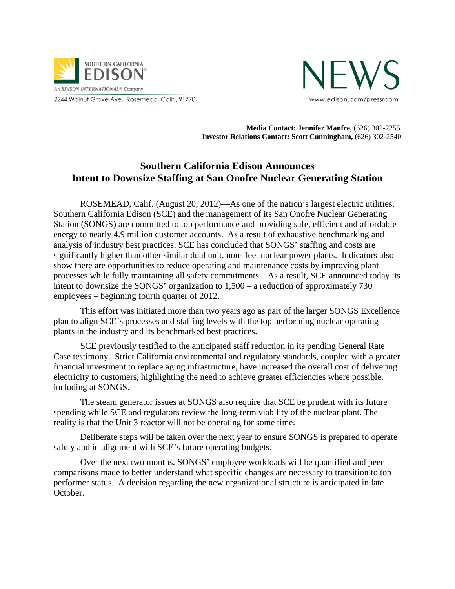



 **Media Contact: Jennifer Manfre,** (626) 302-2255 **Investor Relations Contact: Scott Cunningham,** (626) 302-2540

## **Southern California Edison Announces Intent to Downsize Staffing at San Onofre Nuclear Generating Station**

ROSEMEAD, Calif. (August 20, 2012)—As one of the nation's largest electric utilities, Southern California Edison (SCE) and the management of its San Onofre Nuclear Generating Station (SONGS) are committed to top performance and providing safe, efficient and affordable energy to nearly 4.9 million customer accounts. As a result of exhaustive benchmarking and analysis of industry best practices, SCE has concluded that SONGS' staffing and costs are significantly higher than other similar dual unit, non-fleet nuclear power plants. Indicators also show there are opportunities to reduce operating and maintenance costs by improving plant processes while fully maintaining all safety commitments. As a result, SCE announced today its intent to downsize the SONGS' organization to 1,500 – a reduction of approximately 730 employees – beginning fourth quarter of 2012.

This effort was initiated more than two years ago as part of the larger SONGS Excellence plan to align SCE's processes and staffing levels with the top performing nuclear operating plants in the industry and its benchmarked best practices.

SCE previously testified to the anticipated staff reduction in its pending General Rate Case testimony. Strict California environmental and regulatory standards, coupled with a greater financial investment to replace aging infrastructure, have increased the overall cost of delivering electricity to customers, highlighting the need to achieve greater efficiencies where possible, including at SONGS.

The steam generator issues at SONGS also require that SCE be prudent with its future spending while SCE and regulators review the long-term viability of the nuclear plant. The reality is that the Unit 3 reactor will not be operating for some time.

Deliberate steps will be taken over the next year to ensure SONGS is prepared to operate safely and in alignment with SCE's future operating budgets.

Over the next two months, SONGS' employee workloads will be quantified and peer comparisons made to better understand what specific changes are necessary to transition to top performer status. A decision regarding the new organizational structure is anticipated in late October.